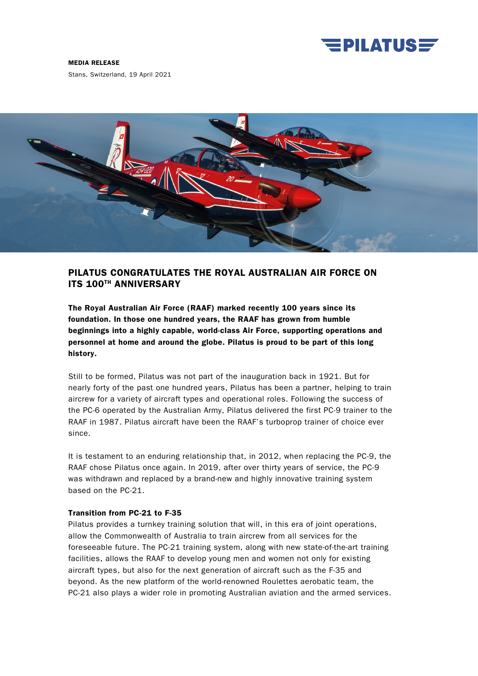

#### MEDIA RELEASE

Stans, Switzerland, 19 April 2021



# PILATUS CONGRATULATES THE ROYAL AUSTRALIAN AIR FORCE ON ITS 100TH ANNIVERSARY

The Royal Australian Air Force (RAAF) marked recently 100 years since its foundation. In those one hundred years, the RAAF has grown from humble beginnings into a highly capable, world-class Air Force, supporting operations and personnel at home and around the globe. Pilatus is proud to be part of this long history.

Still to be formed, Pilatus was not part of the inauguration back in 1921. But for nearly forty of the past one hundred years, Pilatus has been a partner, helping to train aircrew for a variety of aircraft types and operational roles. Following the success of the PC-6 operated by the Australian Army, Pilatus delivered the first PC-9 trainer to the RAAF in 1987. Pilatus aircraft have been the RAAF's turboprop trainer of choice ever since.

It is testament to an enduring relationship that, in 2012, when replacing the PC-9, the RAAF chose Pilatus once again. In 2019, after over thirty years of service, the PC-9 was withdrawn and replaced by a brand-new and highly innovative training system based on the PC-21.

## Transition from PC-21 to F-35

Pilatus provides a turnkey training solution that will, in this era of joint operations, allow the Commonwealth of Australia to train aircrew from all services for the foreseeable future. The PC-21 training system, along with new state-of-the-art training facilities, allows the RAAF to develop young men and women not only for existing aircraft types, but also for the next generation of aircraft such as the F-35 and beyond. As the new platform of the world-renowned Roulettes aerobatic team, the PC-21 also plays a wider role in promoting Australian aviation and the armed services.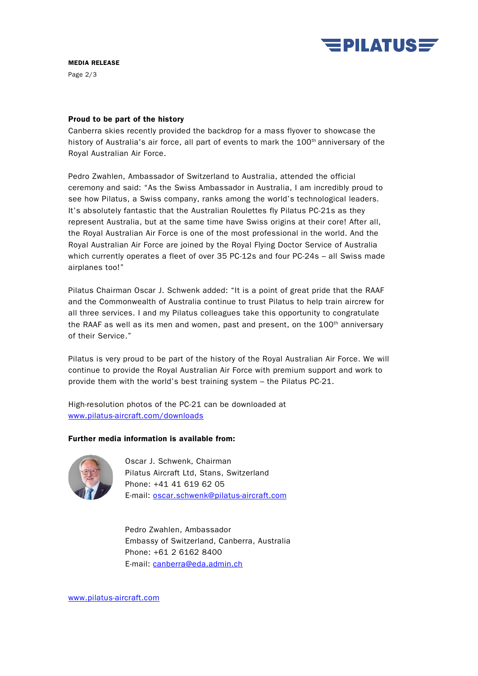

### MEDIA RELEASE

Page 2/3

### Proud to be part of the history

Canberra skies recently provided the backdrop for a mass flyover to showcase the history of Australia's air force, all part of events to mark the 100<sup>th</sup> anniversary of the Royal Australian Air Force.

Pedro Zwahlen, Ambassador of Switzerland to Australia, attended the official ceremony and said: "As the Swiss Ambassador in Australia, I am incredibly proud to see how Pilatus, a Swiss company, ranks among the world's technological leaders. It's absolutely fantastic that the Australian Roulettes fly Pilatus PC-21s as they represent Australia, but at the same time have Swiss origins at their core! After all, the Royal Australian Air Force is one of the most professional in the world. And the Royal Australian Air Force are joined by the Royal Flying Doctor Service of Australia which currently operates a fleet of over 35 PC-12s and four PC-24s – all Swiss made airplanes too!"

Pilatus Chairman Oscar J. Schwenk added: "It is a point of great pride that the RAAF and the Commonwealth of Australia continue to trust Pilatus to help train aircrew for all three services. I and my Pilatus colleagues take this opportunity to congratulate the RAAF as well as its men and women, past and present, on the  $100<sup>th</sup>$  anniversary of their Service."

Pilatus is very proud to be part of the history of the Royal Australian Air Force. We will continue to provide the Royal Australian Air Force with premium support and work to provide them with the world's best training system – the Pilatus PC-21.

High-resolution photos of the PC-21 can be downloaded at [www.pilatus-aircraft.com/downloads](http://www.pilatus-aircraft.com/downloads)

## Further media information is available from:



Oscar J. Schwenk, Chairman Pilatus Aircraft Ltd, Stans, Switzerland Phone: +41 41 619 62 05 E-mail: [oscar.schwenk@pilatus-aircraft.com](mailto:oscar.schwenk@pilatus-aircraft.com)

Pedro Zwahlen, Ambassador Embassy of Switzerland, Canberra, Australia Phone: +61 2 6162 8400 E-mail: [canberra@eda.admin.ch](mailto:canberra@eda.admin.ch)

[www.pilatus-aircraft.com](http://www.pilatus-aircraft.com/)